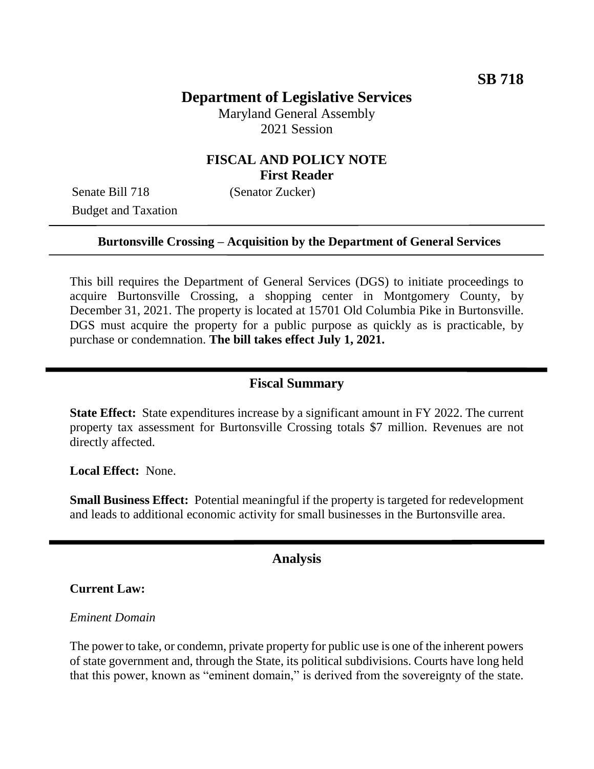# **Department of Legislative Services**

Maryland General Assembly 2021 Session

## **FISCAL AND POLICY NOTE First Reader**

Senate Bill 718 (Senator Zucker) Budget and Taxation

### **Burtonsville Crossing – Acquisition by the Department of General Services**

This bill requires the Department of General Services (DGS) to initiate proceedings to acquire Burtonsville Crossing, a shopping center in Montgomery County, by December 31, 2021. The property is located at 15701 Old Columbia Pike in Burtonsville. DGS must acquire the property for a public purpose as quickly as is practicable, by purchase or condemnation. **The bill takes effect July 1, 2021.**

### **Fiscal Summary**

**State Effect:** State expenditures increase by a significant amount in FY 2022. The current property tax assessment for Burtonsville Crossing totals \$7 million. Revenues are not directly affected.

**Local Effect:** None.

**Small Business Effect:** Potential meaningful if the property is targeted for redevelopment and leads to additional economic activity for small businesses in the Burtonsville area.

### **Analysis**

#### **Current Law:**

#### *Eminent Domain*

The power to take, or condemn, private property for public use is one of the inherent powers of state government and, through the State, its political subdivisions. Courts have long held that this power, known as "eminent domain," is derived from the sovereignty of the state.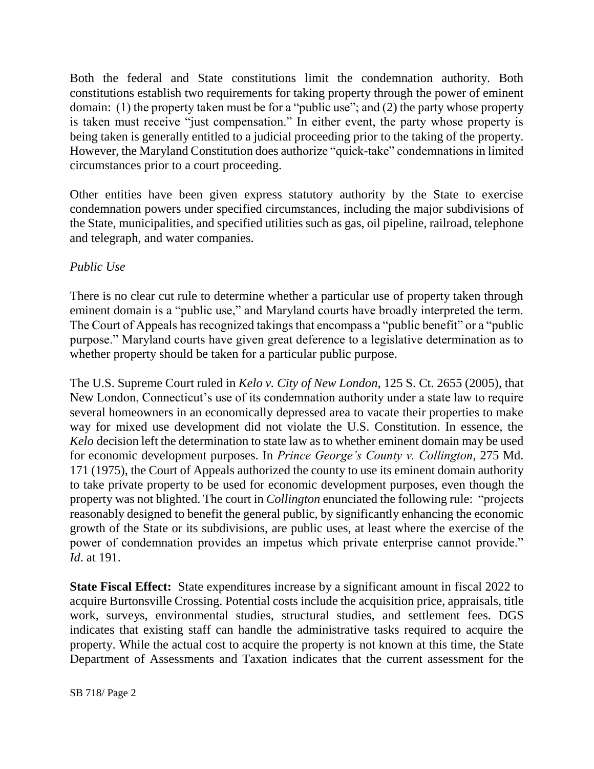Both the federal and State constitutions limit the condemnation authority. Both constitutions establish two requirements for taking property through the power of eminent domain: (1) the property taken must be for a "public use"; and (2) the party whose property is taken must receive "just compensation." In either event, the party whose property is being taken is generally entitled to a judicial proceeding prior to the taking of the property. However, the Maryland Constitution does authorize "quick-take" condemnations in limited circumstances prior to a court proceeding.

Other entities have been given express statutory authority by the State to exercise condemnation powers under specified circumstances, including the major subdivisions of the State, municipalities, and specified utilities such as gas, oil pipeline, railroad, telephone and telegraph, and water companies.

### *Public Use*

There is no clear cut rule to determine whether a particular use of property taken through eminent domain is a "public use," and Maryland courts have broadly interpreted the term. The Court of Appeals has recognized takings that encompass a "public benefit" or a "public purpose." Maryland courts have given great deference to a legislative determination as to whether property should be taken for a particular public purpose.

The U.S. Supreme Court ruled in *Kelo v. City of New London*, 125 S. Ct. 2655 (2005), that New London, Connecticut's use of its condemnation authority under a state law to require several homeowners in an economically depressed area to vacate their properties to make way for mixed use development did not violate the U.S. Constitution. In essence, the *Kelo* decision left the determination to state law as to whether eminent domain may be used for economic development purposes. In *Prince George's County v. Collington*, 275 Md. 171 (1975), the Court of Appeals authorized the county to use its eminent domain authority to take private property to be used for economic development purposes, even though the property was not blighted. The court in *Collington* enunciated the following rule: "projects reasonably designed to benefit the general public, by significantly enhancing the economic growth of the State or its subdivisions, are public uses, at least where the exercise of the power of condemnation provides an impetus which private enterprise cannot provide." *Id*. at 191.

**State Fiscal Effect:** State expenditures increase by a significant amount in fiscal 2022 to acquire Burtonsville Crossing. Potential costs include the acquisition price, appraisals, title work, surveys, environmental studies, structural studies, and settlement fees. DGS indicates that existing staff can handle the administrative tasks required to acquire the property. While the actual cost to acquire the property is not known at this time, the State Department of Assessments and Taxation indicates that the current assessment for the